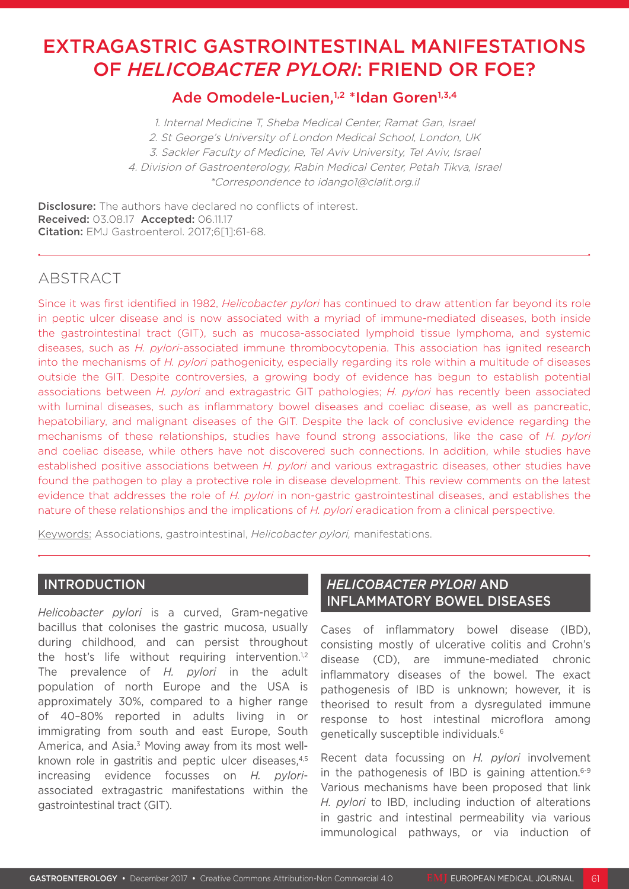# EXTRAGASTRIC GASTROINTESTINAL MANIFESTATIONS OF *HELICOBACTER PYLORI*: FRIEND OR FOE?

# Ade Omodele-Lucien,<sup>1,2</sup> \*Idan Goren<sup>1,3,4</sup>

1. Internal Medicine T, Sheba Medical Center, Ramat Gan, Israel 2. St George's University of London Medical School, London, UK 3. Sackler Faculty of Medicine, Tel Aviv University, Tel Aviv, Israel 4. Division of Gastroenterology, Rabin Medical Center, Petah Tikva, Israel \*Correspondence to idango1@clalit.org.il

**Disclosure:** The authors have declared no conflicts of interest. Received: 03.08.17 Accepted: 06.11.17 Citation: EMJ Gastroenterol. 2017;6[1]:61-68.

# ABSTRACT

Since it was first identified in 1982, *Helicobacter pylori* has continued to draw attention far beyond its role in peptic ulcer disease and is now associated with a myriad of immune-mediated diseases, both inside the gastrointestinal tract (GIT), such as mucosa-associated lymphoid tissue lymphoma, and systemic diseases, such as *H. pylori*-associated immune thrombocytopenia. This association has ignited research into the mechanisms of *H. pylori* pathogenicity, especially regarding its role within a multitude of diseases outside the GIT. Despite controversies, a growing body of evidence has begun to establish potential associations between *H. pylori* and extragastric GIT pathologies; *H. pylori* has recently been associated with luminal diseases, such as inflammatory bowel diseases and coeliac disease, as well as pancreatic, hepatobiliary, and malignant diseases of the GIT. Despite the lack of conclusive evidence regarding the mechanisms of these relationships, studies have found strong associations, like the case of *H. pylori*  and coeliac disease, while others have not discovered such connections. In addition, while studies have established positive associations between *H. pylori* and various extragastric diseases, other studies have found the pathogen to play a protective role in disease development. This review comments on the latest evidence that addresses the role of *H. pylori* in non-gastric gastrointestinal diseases, and establishes the nature of these relationships and the implications of *H. pylori* eradication from a clinical perspective.

Keywords: Associations, gastrointestinal, *Helicobacter pylori,* manifestations.

### INTRODUCTION

*Helicobacter pylori* is a curved, Gram-negative bacillus that colonises the gastric mucosa, usually during childhood, and can persist throughout the host's life without requiring intervention.<sup>1,2</sup> The prevalence of *H. pylori* in the adult population of north Europe and the USA is approximately 30%, compared to a higher range of 40–80% reported in adults living in or immigrating from south and east Europe, South America, and Asia.3 Moving away from its most wellknown role in gastritis and peptic ulcer diseases.<sup>4,5</sup> increasing evidence focusses on *H. pylori*associated extragastric manifestations within the gastrointestinal tract (GIT).

# *HELICOBACTER PYLORI* AND INFLAMMATORY BOWEL DISEASES

Cases of inflammatory bowel disease (IBD), consisting mostly of ulcerative colitis and Crohn's disease (CD), are immune-mediated chronic inflammatory diseases of the bowel. The exact pathogenesis of IBD is unknown; however, it is theorised to result from a dysregulated immune response to host intestinal microflora among genetically susceptible individuals.6

Recent data focussing on *H. pylori* involvement in the pathogenesis of IBD is gaining attention. $6-9$ Various mechanisms have been proposed that link *H. pylori* to IBD, including induction of alterations in gastric and intestinal permeability via various immunological pathways, or via induction of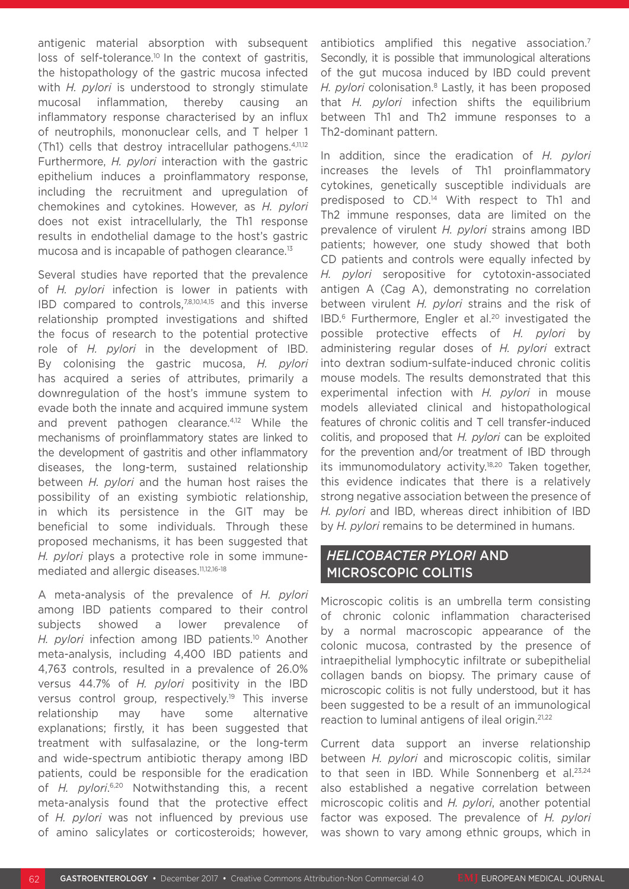antigenic material absorption with subsequent loss of self-tolerance.<sup>10</sup> In the context of gastritis, the histopathology of the gastric mucosa infected with *H. pylori* is understood to strongly stimulate mucosal inflammation, thereby causing an inflammatory response characterised by an influx of neutrophils, mononuclear cells, and T helper 1 (Th1) cells that destroy intracellular pathogens.4,11,12 Furthermore, *H. pylori* interaction with the gastric epithelium induces a proinflammatory response, including the recruitment and upregulation of chemokines and cytokines. However, as *H. pylori* does not exist intracellularly, the Th1 response results in endothelial damage to the host's gastric mucosa and is incapable of pathogen clearance.<sup>13</sup>

Several studies have reported that the prevalence of *H. pylori* infection is lower in patients with IBD compared to controls,7,8,10,14,15 and this inverse relationship prompted investigations and shifted the focus of research to the potential protective role of *H. pylori* in the development of IBD. By colonising the gastric mucosa, *H. pylori*  has acquired a series of attributes, primarily a downregulation of the host's immune system to evade both the innate and acquired immune system and prevent pathogen clearance.4,12 While the mechanisms of proinflammatory states are linked to the development of gastritis and other inflammatory diseases, the long-term, sustained relationship between *H. pylori* and the human host raises the possibility of an existing symbiotic relationship, in which its persistence in the GIT may be beneficial to some individuals. Through these proposed mechanisms, it has been suggested that *H. pylori* plays a protective role in some immunemediated and allergic diseases.<sup>11,12,16-18</sup>

A meta-analysis of the prevalence of *H. pylori* among IBD patients compared to their control subjects showed a lower prevalence *H. pylori* infection among IBD patients.<sup>10</sup> Another meta-analysis, including 4,400 IBD patients and 4,763 controls, resulted in a prevalence of 26.0% versus 44.7% of *H. pylori* positivity in the IBD versus control group, respectively.19 This inverse relationship may have some alternative explanations; firstly, it has been suggested that treatment with sulfasalazine, or the long-term and wide-spectrum antibiotic therapy among IBD patients, could be responsible for the eradication of *H. pylori.*<sup>6,20</sup> Notwithstanding this, a recent meta-analysis found that the protective effect of *H. pylori* was not influenced by previous use of amino salicylates or corticosteroids; however,

antibiotics amplified this negative association.<sup>7</sup> Secondly, it is possible that immunological alterations of the gut mucosa induced by IBD could prevent *H. pylori* colonisation.8 Lastly, it has been proposed that *H. pylori* infection shifts the equilibrium between Th1 and Th2 immune responses to a Th2-dominant pattern.

In addition, since the eradication of *H. pylori* increases the levels of Th1 proinflammatory cytokines, genetically susceptible individuals are predisposed to CD.14 With respect to Th1 and Th2 immune responses, data are limited on the prevalence of virulent *H. pylori* strains among IBD patients; however, one study showed that both CD patients and controls were equally infected by *H. pylori* seropositive for cytotoxin-associated antigen A (Cag A), demonstrating no correlation between virulent *H. pylori* strains and the risk of IBD.<sup>6</sup> Furthermore, Engler et al.<sup>20</sup> investigated the possible protective effects of *H. pylori* by administering regular doses of *H. pylori* extract into dextran sodium-sulfate-induced chronic colitis mouse models. The results demonstrated that this experimental infection with *H. pylori* in mouse models alleviated clinical and histopathological features of chronic colitis and T cell transfer-induced colitis, and proposed that *H. pylori* can be exploited for the prevention and/or treatment of IBD through its immunomodulatory activity.<sup>18,20</sup> Taken together, this evidence indicates that there is a relatively strong negative association between the presence of *H. pylori* and IBD, whereas direct inhibition of IBD by *H. pylori* remains to be determined in humans.

### *HELICOBACTER PYLORI* AND MICROSCOPIC COLITIS

Microscopic colitis is an umbrella term consisting of chronic colonic inflammation characterised by a normal macroscopic appearance of the colonic mucosa, contrasted by the presence of intraepithelial lymphocytic infiltrate or subepithelial collagen bands on biopsy. The primary cause of microscopic colitis is not fully understood, but it has been suggested to be a result of an immunological reaction to luminal antigens of ileal origin.21,22

Current data support an inverse relationship between *H. pylori* and microscopic colitis, similar to that seen in IBD. While Sonnenberg et al. $23,24$ also established a negative correlation between microscopic colitis and *H. pylori*, another potential factor was exposed. The prevalence of *H. pylori* was shown to vary among ethnic groups, which in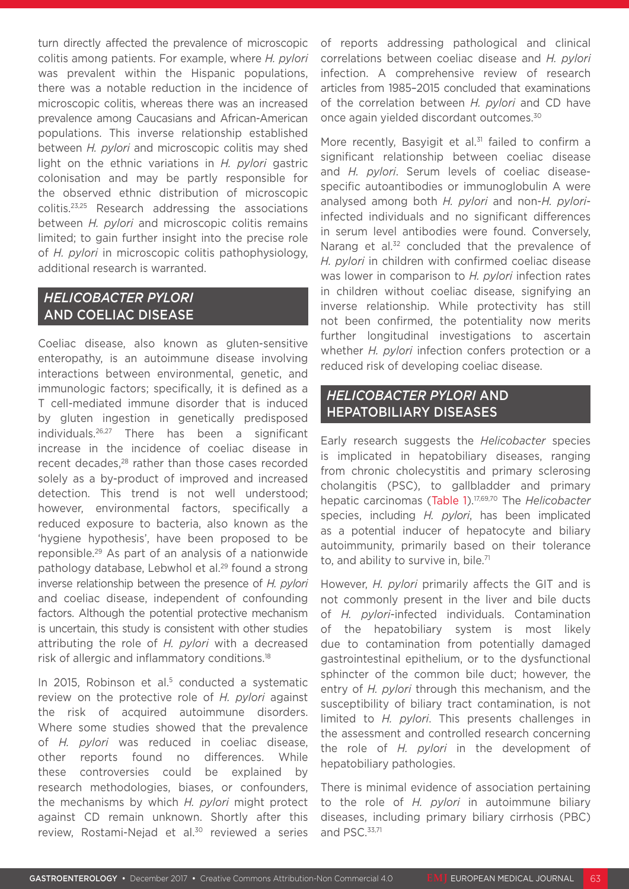turn directly affected the prevalence of microscopic colitis among patients. For example, where *H. pylori* was prevalent within the Hispanic populations, there was a notable reduction in the incidence of microscopic colitis, whereas there was an increased prevalence among Caucasians and African-American populations. This inverse relationship established between *H. pylori* and microscopic colitis may shed light on the ethnic variations in *H. pylori* gastric colonisation and may be partly responsible for the observed ethnic distribution of microscopic colitis.23,25 Research addressing the associations between *H. pylori* and microscopic colitis remains limited; to gain further insight into the precise role of *H. pylori* in microscopic colitis pathophysiology, additional research is warranted.

# *HELICOBACTER PYLORI*  AND COELIAC DISEASE

Coeliac disease, also known as gluten-sensitive enteropathy, is an autoimmune disease involving interactions between environmental, genetic, and immunologic factors; specifically, it is defined as a T cell-mediated immune disorder that is induced by gluten ingestion in genetically predisposed individuals.26,27 There has been a significant increase in the incidence of coeliac disease in recent decades,<sup>28</sup> rather than those cases recorded solely as a by-product of improved and increased detection. This trend is not well understood; however, environmental factors, specifically a reduced exposure to bacteria, also known as the 'hygiene hypothesis', have been proposed to be reponsible.29 As part of an analysis of a nationwide pathology database, Lebwhol et al.<sup>29</sup> found a strong inverse relationship between the presence of *H. pylori* and coeliac disease, independent of confounding factors. Although the potential protective mechanism is uncertain, this study is consistent with other studies attributing the role of *H. pylori* with a decreased risk of allergic and inflammatory conditions.18

In 2015, Robinson et al.<sup>5</sup> conducted a systematic review on the protective role of *H. pylori* against the risk of acquired autoimmune disorders. Where some studies showed that the prevalence of *H. pylori* was reduced in coeliac disease, other reports found no differences. While these controversies could be explained by research methodologies, biases, or confounders, the mechanisms by which *H. pylori* might protect against CD remain unknown. Shortly after this review, Rostami-Nejad et al.<sup>30</sup> reviewed a series

of reports addressing pathological and clinical correlations between coeliac disease and *H. pylori*  infection. A comprehensive review of research articles from 1985–2015 concluded that examinations of the correlation between *H. pylori* and CD have once again yielded discordant outcomes.30

More recently. Basvigit et al.<sup>31</sup> failed to confirm a significant relationship between coeliac disease and *H. pylori*. Serum levels of coeliac diseasespecific autoantibodies or immunoglobulin A were analysed among both *H. pylori* and non-*H. pylori*infected individuals and no significant differences in serum level antibodies were found. Conversely, Narang et al.<sup>32</sup> concluded that the prevalence of *H. pylori* in children with confirmed coeliac disease was lower in comparison to *H. pylori* infection rates in children without coeliac disease, signifying an inverse relationship. While protectivity has still not been confirmed, the potentiality now merits further longitudinal investigations to ascertain whether *H. pylori* infection confers protection or a reduced risk of developing coeliac disease.

# *HELICOBACTER PYLORI* AND HEPATOBILIARY DISEASES

Early research suggests the *Helicobacter* species is implicated in hepatobiliary diseases, ranging from chronic cholecystitis and primary sclerosing cholangitis (PSC), to gallbladder and primary hepatic carcinomas (Table 1).17,69,70 The *Helicobacter* species, including *H. pylori*, has been implicated as a potential inducer of hepatocyte and biliary autoimmunity, primarily based on their tolerance to, and ability to survive in, bile.<sup>71</sup>

However, *H. pylori* primarily affects the GIT and is not commonly present in the liver and bile ducts of *H. pylori*-infected individuals. Contamination of the hepatobiliary system is most likely due to contamination from potentially damaged gastrointestinal epithelium, or to the dysfunctional sphincter of the common bile duct; however, the entry of *H. pylori* through this mechanism, and the susceptibility of biliary tract contamination, is not limited to *H. pylori*. This presents challenges in the assessment and controlled research concerning the role of *H. pylori* in the development of hepatobiliary pathologies.

There is minimal evidence of association pertaining to the role of *H. pylori* in autoimmune biliary diseases, including primary biliary cirrhosis (PBC) and PSC.<sup>33,71</sup>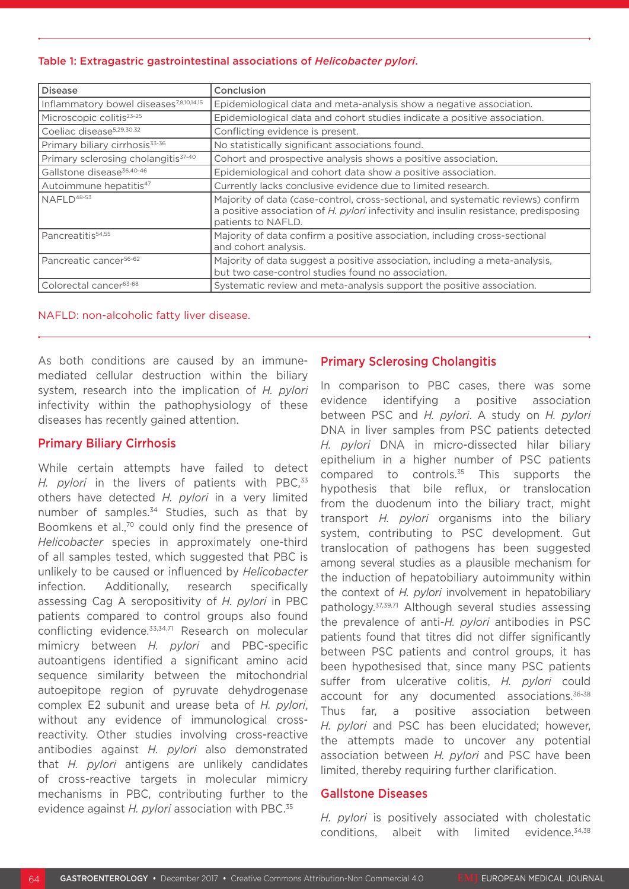#### Table 1: Extragastric gastrointestinal associations of *Helicobacter pylori*.

| <b>Disease</b>                                      | Conclusion                                                                                                                                                                                     |
|-----------------------------------------------------|------------------------------------------------------------------------------------------------------------------------------------------------------------------------------------------------|
| Inflammatory bowel diseases <sup>7,8,10,14,15</sup> | Epidemiological data and meta-analysis show a negative association.                                                                                                                            |
| Microscopic colitis <sup>23-25</sup>                | Epidemiological data and cohort studies indicate a positive association.                                                                                                                       |
| Coeliac disease <sup>5,29,30,32</sup>               | Conflicting evidence is present.                                                                                                                                                               |
| Primary biliary cirrhosis <sup>33-36</sup>          | No statistically significant associations found.                                                                                                                                               |
| Primary sclerosing cholangitis <sup>37-40</sup>     | Cohort and prospective analysis shows a positive association.                                                                                                                                  |
| Gallstone disease <sup>36,40-46</sup>               | Epidemiological and cohort data show a positive association.                                                                                                                                   |
| Autoimmune hepatitis <sup>47</sup>                  | Currently lacks conclusive evidence due to limited research.                                                                                                                                   |
| NAFI $D^{48-53}$                                    | Majority of data (case-control, cross-sectional, and systematic reviews) confirm<br>a positive association of H. pylori infectivity and insulin resistance, predisposing<br>patients to NAFLD. |
| Pancreatitis <sup>54,55</sup>                       | Majority of data confirm a positive association, including cross-sectional<br>and cohort analysis.                                                                                             |
| Pancreatic cancer <sup>56-62</sup>                  | Majority of data suggest a positive association, including a meta-analysis,<br>but two case-control studies found no association.                                                              |
| Colorectal cancer <sup>63-68</sup>                  | Systematic review and meta-analysis support the positive association.                                                                                                                          |

NAFLD: non-alcoholic fatty liver disease.

As both conditions are caused by an immunemediated cellular destruction within the biliary system, research into the implication of *H. pylori* infectivity within the pathophysiology of these diseases has recently gained attention.

#### Primary Biliary Cirrhosis

While certain attempts have failed to detect H. pylori in the livers of patients with PBC,<sup>33</sup> others have detected *H. pylori* in a very limited number of samples.<sup>34</sup> Studies, such as that by Boomkens et al.,<sup>70</sup> could only find the presence of *Helicobacter* species in approximately one-third of all samples tested, which suggested that PBC is unlikely to be caused or influenced by *Helicobacter* infection. Additionally, research specifically assessing Cag A seropositivity of *H. pylori* in PBC patients compared to control groups also found conflicting evidence.<sup>33,34,71</sup> Research on molecular mimicry between *H. pylori* and PBC-specific autoantigens identified a significant amino acid sequence similarity between the mitochondrial autoepitope region of pyruvate dehydrogenase complex E2 subunit and urease beta of *H. pylori*, without any evidence of immunological crossreactivity. Other studies involving cross-reactive antibodies against *H. pylori* also demonstrated that *H. pylori* antigens are unlikely candidates of cross-reactive targets in molecular mimicry mechanisms in PBC, contributing further to the evidence against *H. pylori* association with PBC.35

### Primary Sclerosing Cholangitis

In comparison to PBC cases, there was some evidence identifying a positive association between PSC and *H. pylori*. A study on *H. pylori* DNA in liver samples from PSC patients detected *H. pylori* DNA in micro-dissected hilar biliary epithelium in a higher number of PSC patients compared to controls.35 This supports the hypothesis that bile reflux, or translocation from the duodenum into the biliary tract, might transport *H. pylori* organisms into the biliary system, contributing to PSC development. Gut translocation of pathogens has been suggested among several studies as a plausible mechanism for the induction of hepatobiliary autoimmunity within the context of *H. pylori* involvement in hepatobiliary pathology.37,39,71 Although several studies assessing the prevalence of anti-*H. pylori* antibodies in PSC patients found that titres did not differ significantly between PSC patients and control groups, it has been hypothesised that, since many PSC patients suffer from ulcerative colitis, *H. pylori* could account for any documented associations.36-38 Thus far, a positive association between *H. pylori* and PSC has been elucidated; however, the attempts made to uncover any potential association between *H. pylori* and PSC have been limited, thereby requiring further clarification.

#### Gallstone Diseases

*H. pylori* is positively associated with cholestatic conditions, albeit with limited evidence.34,38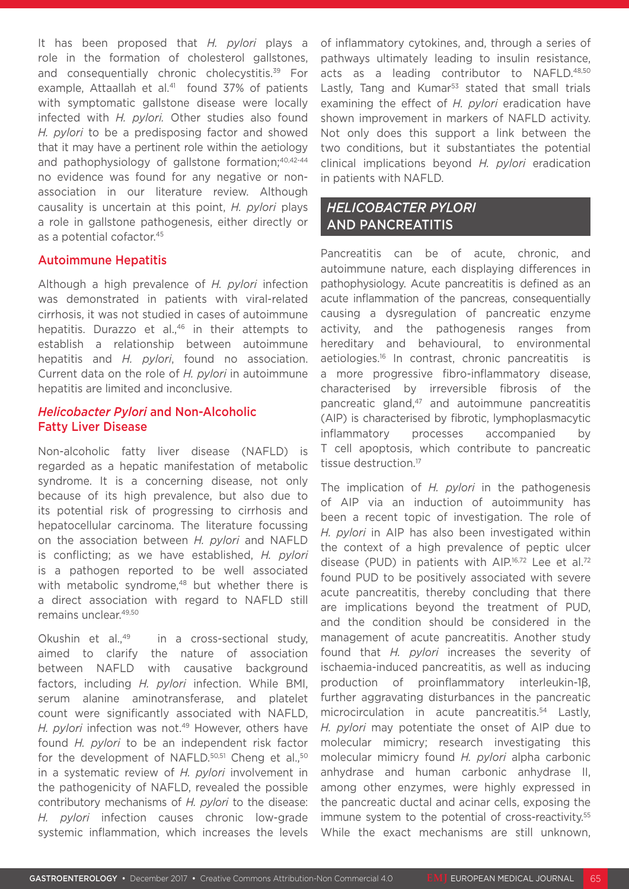It has been proposed that *H. pylori* plays a role in the formation of cholesterol gallstones, and consequentially chronic cholecystitis.<sup>39</sup> For example, Attaallah et al.<sup>41</sup> found 37% of patients with symptomatic gallstone disease were locally infected with *H. pylori.* Other studies also found *H. pylori* to be a predisposing factor and showed that it may have a pertinent role within the aetiology and pathophysiology of gallstone formation;<sup>40,42-44</sup> no evidence was found for any negative or nonassociation in our literature review. Although causality is uncertain at this point, *H. pylori* plays a role in gallstone pathogenesis, either directly or as a potential cofactor.<sup>45</sup>

#### Autoimmune Hepatitis

Although a high prevalence of *H. pylori* infection was demonstrated in patients with viral-related cirrhosis, it was not studied in cases of autoimmune hepatitis. Durazzo et al.,<sup>46</sup> in their attempts to establish a relationship between autoimmune hepatitis and *H. pylori*, found no association. Current data on the role of *H. pylori* in autoimmune hepatitis are limited and inconclusive.

#### *Helicobacter Pylori* and Non-Alcoholic Fatty Liver Disease

Non-alcoholic fatty liver disease (NAFLD) is regarded as a hepatic manifestation of metabolic syndrome. It is a concerning disease, not only because of its high prevalence, but also due to its potential risk of progressing to cirrhosis and hepatocellular carcinoma. The literature focussing on the association between *H. pylori* and NAFLD is conflicting; as we have established, *H. pylori* is a pathogen reported to be well associated with metabolic syndrome.<sup>48</sup> but whether there is a direct association with regard to NAFLD still remains unclear.49,50

Okushin et al.,<sup>49</sup> in a cross-sectional study, aimed to clarify the nature of association between NAFLD with causative background factors, including *H. pylori* infection. While BMI, serum alanine aminotransferase, and platelet count were significantly associated with NAFLD, *H. pylori* infection was not.<sup>49</sup> However, others have found *H. pylori* to be an independent risk factor for the development of NAFLD.<sup>50,51</sup> Cheng et al.,<sup>50</sup> in a systematic review of *H. pylori* involvement in the pathogenicity of NAFLD, revealed the possible contributory mechanisms of *H. pylori* to the disease: *H. pylori* infection causes chronic low-grade systemic inflammation, which increases the levels

of inflammatory cytokines, and, through a series of pathways ultimately leading to insulin resistance, acts as a leading contributor to NAFLD.48,50 Lastly. Tang and Kumar<sup>53</sup> stated that small trials examining the effect of *H. pylori* eradication have shown improvement in markers of NAFLD activity. Not only does this support a link between the two conditions, but it substantiates the potential clinical implications beyond *H. pylori* eradication in patients with NAFLD.

## *HELICOBACTER PYLORI*  AND PANCREATITIS

Pancreatitis can be of acute, chronic, and autoimmune nature, each displaying differences in pathophysiology. Acute pancreatitis is defined as an acute inflammation of the pancreas, consequentially causing a dysregulation of pancreatic enzyme activity, and the pathogenesis ranges from hereditary and behavioural, to environmental aetiologies.16 In contrast, chronic pancreatitis is a more progressive fibro-inflammatory disease, characterised by irreversible fibrosis of the pancreatic gland, $47$  and autoimmune pancreatitis (AIP) is characterised by fibrotic, lymphoplasmacytic inflammatory processes accompanied by T cell apoptosis, which contribute to pancreatic tissue destruction.<sup>17</sup>

The implication of *H. pylori* in the pathogenesis of AIP via an induction of autoimmunity has been a recent topic of investigation. The role of *H. pylori* in AIP has also been investigated within the context of a high prevalence of peptic ulcer disease (PUD) in patients with AIP.16,72 Lee et al.72 found PUD to be positively associated with severe acute pancreatitis, thereby concluding that there are implications beyond the treatment of PUD, and the condition should be considered in the management of acute pancreatitis. Another study found that *H. pylori* increases the severity of ischaemia-induced pancreatitis, as well as inducing production of proinflammatory interleukin-1β, further aggravating disturbances in the pancreatic microcirculation in acute pancreatitis.54 Lastly, *H. pylori* may potentiate the onset of AIP due to molecular mimicry; research investigating this molecular mimicry found *H. pylori* alpha carbonic anhydrase and human carbonic anhydrase II, among other enzymes, were highly expressed in the pancreatic ductal and acinar cells, exposing the immune system to the potential of cross-reactivity.<sup>55</sup> While the exact mechanisms are still unknown,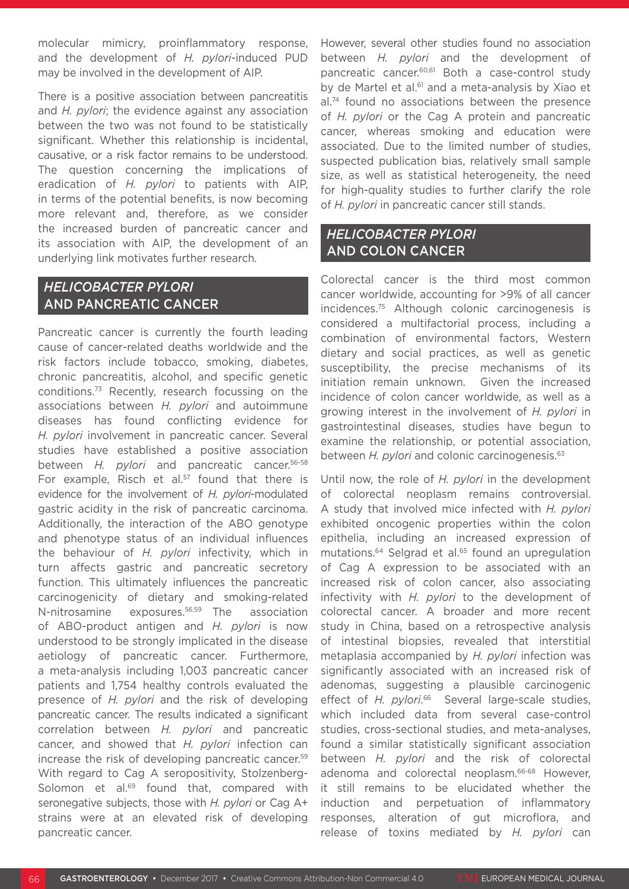molecular mimicry, proinflammatory response, and the development of *H. pylori*-induced PUD may be involved in the development of AIP.

There is a positive association between pancreatitis and *H. pylori*; the evidence against any association between the two was not found to be statistically significant. Whether this relationship is incidental, causative, or a risk factor remains to be understood. The question concerning the implications of eradication of *H. pylori* to patients with AIP, in terms of the potential benefits, is now becoming more relevant and, therefore, as we consider the increased burden of pancreatic cancer and its association with AIP, the development of an underlying link motivates further research.

### *HELICOBACTER PYLORI* AND PANCREATIC CANCER

Pancreatic cancer is currently the fourth leading cause of cancer-related deaths worldwide and the risk factors include tobacco, smoking, diabetes, chronic pancreatitis, alcohol, and specific genetic conditions.73 Recently, research focussing on the associations between *H. pylori* and autoimmune diseases has found conflicting evidence for *H. pylori* involvement in pancreatic cancer. Several studies have established a positive association between *H. pylori* and pancreatic cancer.56-58 For example, Risch et al. $57$  found that there is evidence for the involvement of *H. pylori*-modulated gastric acidity in the risk of pancreatic carcinoma. Additionally, the interaction of the ABO genotype and phenotype status of an individual influences the behaviour of *H. pylori* infectivity, which in turn affects gastric and pancreatic secretory function. This ultimately influences the pancreatic carcinogenicity of dietary and smoking-related N-nitrosamine exposures.56,59 The association of ABO-product antigen and *H. pylori* is now understood to be strongly implicated in the disease aetiology of pancreatic cancer. Furthermore, a meta-analysis including 1,003 pancreatic cancer patients and 1,754 healthy controls evaluated the presence of *H. pylori* and the risk of developing pancreatic cancer. The results indicated a significant correlation between *H. pylori* and pancreatic cancer, and showed that *H. pylori* infection can increase the risk of developing pancreatic cancer.59 With regard to Cag A seropositivity, Stolzenberg-Solomon et al.<sup>69</sup> found that, compared with seronegative subjects, those with *H. pylori* or Cag A+ strains were at an elevated risk of developing pancreatic cancer.

However, several other studies found no association between *H. pylori* and the development of pancreatic cancer.<sup>60,61</sup> Both a case-control study by de Martel et al.<sup>61</sup> and a meta-analysis by Xiao et al.<sup>74</sup> found no associations between the presence of *H. pylori* or the Cag A protein and pancreatic cancer, whereas smoking and education were associated. Due to the limited number of studies, suspected publication bias, relatively small sample size, as well as statistical heterogeneity, the need for high-quality studies to further clarify the role of *H. pylori* in pancreatic cancer still stands.

### *HELICOBACTER PYLORI*  AND COLON CANCER

Colorectal cancer is the third most common cancer worldwide, accounting for >9% of all cancer incidences.75 Although colonic carcinogenesis is considered a multifactorial process, including a combination of environmental factors, Western dietary and social practices, as well as genetic susceptibility, the precise mechanisms of its initiation remain unknown. Given the increased incidence of colon cancer worldwide, as well as a growing interest in the involvement of *H. pylori* in gastrointestinal diseases, studies have begun to examine the relationship, or potential association, between *H. pylori* and colonic carcinogenesis.<sup>63</sup>

Until now, the role of *H. pylori* in the development of colorectal neoplasm remains controversial. A study that involved mice infected with *H. pylori* exhibited oncogenic properties within the colon epithelia, including an increased expression of mutations.<sup>64</sup> Selgrad et al.<sup>65</sup> found an upregulation of Cag A expression to be associated with an increased risk of colon cancer, also associating infectivity with *H. pylori* to the development of colorectal cancer. A broader and more recent study in China, based on a retrospective analysis of intestinal biopsies, revealed that interstitial metaplasia accompanied by *H. pylori* infection was significantly associated with an increased risk of adenomas, suggesting a plausible carcinogenic effect of *H. pylori*. 66 Several large-scale studies, which included data from several case-control studies, cross-sectional studies, and meta-analyses, found a similar statistically significant association between *H. pylori* and the risk of colorectal adenoma and colorectal neoplasm.<sup>66-68</sup> However. it still remains to be elucidated whether the induction and perpetuation of inflammatory responses, alteration of gut microflora, and release of toxins mediated by *H. pylori* can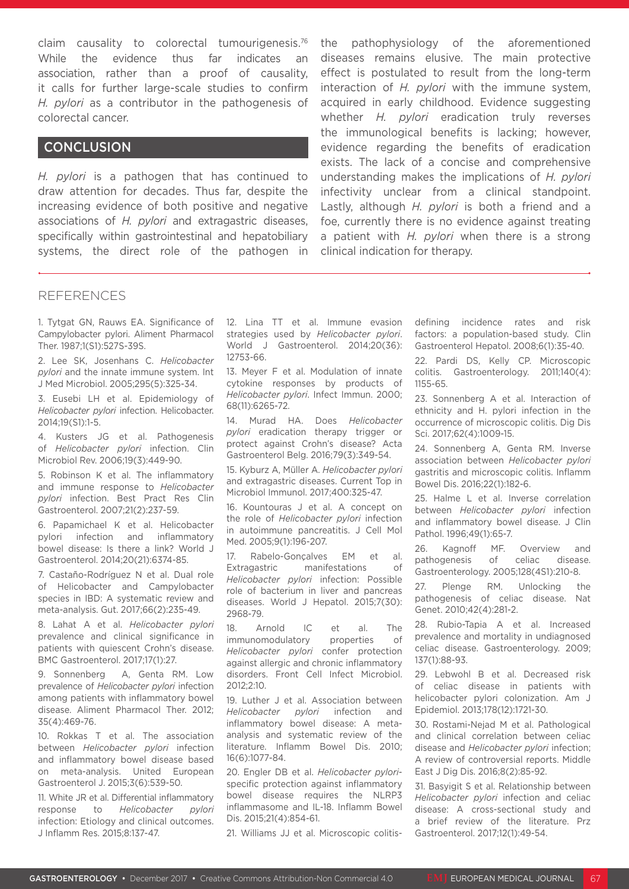claim causality to colorectal tumourigenesis.76 While the evidence thus far indicates association, rather than a proof of causality, it calls for further large-scale studies to confirm *H. pylori* as a contributor in the pathogenesis of colorectal cancer.

### **CONCLUSION**

*H. pylori* is a pathogen that has continued to draw attention for decades. Thus far, despite the increasing evidence of both positive and negative associations of *H. pylori* and extragastric diseases, specifically within gastrointestinal and hepatobiliary systems, the direct role of the pathogen in the pathophysiology of the aforementioned diseases remains elusive. The main protective effect is postulated to result from the long-term interaction of *H. pylori* with the immune system, acquired in early childhood. Evidence suggesting whether *H. pylori* eradication truly reverses the immunological benefits is lacking; however, evidence regarding the benefits of eradication exists. The lack of a concise and comprehensive understanding makes the implications of *H. pylori* infectivity unclear from a clinical standpoint. Lastly, although *H. pylori* is both a friend and a foe, currently there is no evidence against treating a patient with *H. pylori* when there is a strong clinical indication for therapy.

#### REFERENCES

1. Tytgat GN, Rauws EA. Significance of Campylobacter pylori. Aliment Pharmacol Ther. 1987;1(S1):527S-39S.

2. Lee SK, Josenhans C. *Helicobacter pylori* and the innate immune system. Int J Med Microbiol. 2005;295(5):325-34.

3. Eusebi LH et al. Epidemiology of *Helicobacter pylori* infection. Helicobacter. 2014;19(S1):1-5.

4. Kusters JG et al. Pathogenesis of *Helicobacter pylori* infection. Clin Microbiol Rev. 2006;19(3):449-90.

5. Robinson K et al. The inflammatory and immune response to *Helicobacter pylori* infection. Best Pract Res Clin Gastroenterol. 2007;21(2):237-59.

6. Papamichael K et al. Helicobacter pylori infection and inflammatory bowel disease: Is there a link? World J Gastroenterol. 2014;20(21):6374-85.

7. Castaño-Rodríguez N et al. Dual role of Helicobacter and Campylobacter species in IBD: A systematic review and meta-analysis. Gut. 2017;66(2):235-49.

8. Lahat A et al. *Helicobacter pylori* prevalence and clinical significance in patients with quiescent Crohn's disease. BMC Gastroenterol. 2017;17(1):27.

9. Sonnenberg A, Genta RM. Low prevalence of *Helicobacter pylori* infection among patients with inflammatory bowel disease. Aliment Pharmacol Ther. 2012; 35(4):469-76.

10. Rokkas T et al. The association between *Helicobacter pylori* infection and inflammatory bowel disease based on meta-analysis. United European Gastroenterol J. 2015;3(6):539-50.

11. White JR et al. Differential inflammatory response to *Helicobacter pylori* infection: Etiology and clinical outcomes. J Inflamm Res. 2015;8:137-47.

12. Lina TT et al. Immune evasion strategies used by *Helicobacter pylori*. World J Gastroenterol. 2014;20(36): 12753-66.

13. Meyer F et al. Modulation of innate cytokine responses by products of *Helicobacter pylori*. Infect Immun. 2000; 68(11):6265-72.

14. Murad HA. Does *Helicobacter pylori* eradication therapy trigger or protect against Crohn's disease? Acta Gastroenterol Belg. 2016;79(3):349-54.

15. Kyburz A, Müller A. *Helicobacter pylori* and extragastric diseases. Current Top in Microbiol Immunol. 2017;400:325-47.

16. Kountouras J et al. A concept on the role of *Helicobacter pylori* infection in autoimmune pancreatitis. J Cell Mol Med. 2005;9(1):196-207.

17. Rabelo-Gonçalves EM et al. Extragastric manifestations of *Helicobacter pylori* infection: Possible role of bacterium in liver and pancreas diseases. World J Hepatol. 2015;7(30): 2968-79.

18. Arnold IC et al. The immunomodulatory properties of *Helicobacter pylori* confer protection against allergic and chronic inflammatory disorders. Front Cell Infect Microbiol. 2012;2:10.

19. Luther J et al. Association between *Helicobacter pylori* infection and inflammatory bowel disease: A metaanalysis and systematic review of the literature. Inflamm Bowel Dis. 2010; 16(6):1077-84.

20. Engler DB et al. *Helicobacter pylori*specific protection against inflammatory bowel disease requires the NLRP3 inflammasome and IL-18. Inflamm Bowel Dis. 2015;21(4):854-61.

21. Williams JJ et al. Microscopic colitis-

defining incidence rates and risk factors: a population-based study. Clin Gastroenterol Hepatol. 2008;6(1):35-40.

22. Pardi DS, Kelly CP. Microscopic colitis. Gastroenterology. 2011;140(4): 1155-65.

23. Sonnenberg A et al. Interaction of ethnicity and H. pylori infection in the occurrence of microscopic colitis. Dig Dis Sci. 2017;62(4):1009-15.

24. Sonnenberg A, Genta RM. Inverse association between *Helicobacter pylori* gastritis and microscopic colitis. Inflamm Bowel Dis. 2016;22(1):182-6.

25. Halme L et al. Inverse correlation between *Helicobacter pylori* infection and inflammatory bowel disease. J Clin Pathol. 1996;49(1):65-7.

26. Kagnoff MF. Overview and pathogenesis of celiac disease. Gastroenterology. 2005;128(4S1):210-8.

27. Plenge RM. Unlocking the pathogenesis of celiac disease. Nat Genet. 2010;42(4):281-2.

28. Rubio-Tapia A et al. Increased prevalence and mortality in undiagnosed celiac disease. Gastroenterology. 2009; 137(1):88-93.

29. Lebwohl B et al. Decreased risk of celiac disease in patients with helicobacter pylori colonization. Am J Epidemiol. 2013;178(12):1721-30.

30. Rostami-Nejad M et al. Pathological and clinical correlation between celiac disease and *Helicobacter pylori* infection; A review of controversial reports. Middle East J Dig Dis. 2016;8(2):85-92.

31. Basyigit S et al. Relationship between *Helicobacter pylori* infection and celiac disease: A cross-sectional study and a brief review of the literature. Prz Gastroenterol. 2017;12(1):49-54.